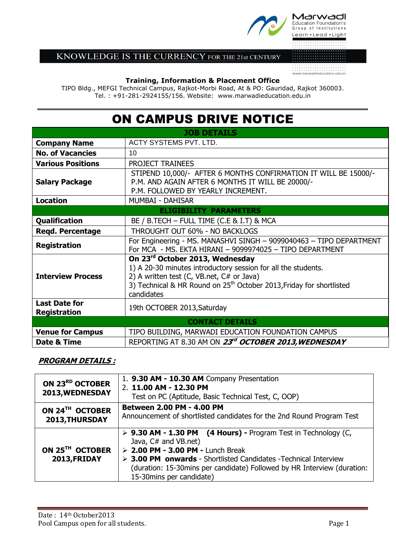

# KNOWLEDGE IS THE CURRENCY FOR THE 21st CENTURY

### **Training, Information & Placement Office**

TIPO Bldg., MEFGI Technical Campus, Rajkot-Morbi Road, At & PO: Gauridad, Rajkot 360003. Tel. : +91-281-2924155/156. Website: www.marwadieducation.edu.in

# ON CAMPUS DRIVE NOTICE

| <b>JOB DETAILS</b>                          |                                                                                                                                                                                                                                                 |
|---------------------------------------------|-------------------------------------------------------------------------------------------------------------------------------------------------------------------------------------------------------------------------------------------------|
| <b>Company Name</b>                         | ACTY SYSTEMS PVT. LTD.                                                                                                                                                                                                                          |
| <b>No. of Vacancies</b>                     | 10                                                                                                                                                                                                                                              |
| <b>Various Positions</b>                    | PROJECT TRAINEES                                                                                                                                                                                                                                |
| <b>Salary Package</b>                       | STIPEND 10,000/- AFTER 6 MONTHS CONFIRMATION IT WILL BE 15000/-<br>P.M. AND AGAIN AFTER 6 MONTHS IT WILL BE 20000/-<br>P.M. FOLLOWED BY YEARLY INCREMENT.                                                                                       |
| <b>Location</b>                             | <b>MUMBAI - DAHISAR</b>                                                                                                                                                                                                                         |
| <b>ELIGIBILITY PARAMETERS</b>               |                                                                                                                                                                                                                                                 |
| <b>Qualification</b>                        | BE / B.TECH - FULL TIME (C.E & I.T) & MCA                                                                                                                                                                                                       |
| <b>Regd. Percentage</b>                     | THROUGHT OUT 60% - NO BACKLOGS                                                                                                                                                                                                                  |
| <b>Registration</b>                         | For Engineering - MS. MANASHVI SINGH - 9099040463 - TIPO DEPARTMENT<br>For MCA - MS. EKTA HIRANI - 9099974025 - TIPO DEPARTMENT                                                                                                                 |
| <b>Interview Process</b>                    | On 23rd October 2013, Wednesday<br>1) A 20-30 minutes introductory session for all the students.<br>2) A written test (C, VB.net, C# or Java)<br>3) Technical & HR Round on 25 <sup>th</sup> October 2013, Friday for shortlisted<br>candidates |
| <b>Last Date for</b><br><b>Registration</b> | 19th OCTOBER 2013, Saturday                                                                                                                                                                                                                     |
| <b>CONTACT DETAILS</b>                      |                                                                                                                                                                                                                                                 |
| <b>Venue for Campus</b>                     | TIPO BUILDING, MARWADI EDUCATION FOUNDATION CAMPUS                                                                                                                                                                                              |
| Date & Time                                 | REPORTING AT 8.30 AM ON 23rd OCTOBER 2013, WEDNESDAY                                                                                                                                                                                            |

## **PROGRAM DETAILS :**

| ON 23RD OCTOBER<br>2013, WEDNESDAY          | 1. 9.30 AM - 10.30 AM Company Presentation<br>2. 11.00 AM - 12.30 PM<br>Test on PC (Aptitude, Basic Technical Test, C, OOP)                                                                                                                                                                                                            |
|---------------------------------------------|----------------------------------------------------------------------------------------------------------------------------------------------------------------------------------------------------------------------------------------------------------------------------------------------------------------------------------------|
| ON 24TH OCTOBER<br>2013, THURSDAY           | <b>Between 2.00 PM - 4.00 PM</b><br>Announcement of shortlisted candidates for the 2nd Round Program Test                                                                                                                                                                                                                              |
| ON 25 <sup>TH</sup> OCTOBER<br>2013, FRIDAY | $\triangleright$ 9.30 AM - 1.30 PM (4 Hours) - Program Test in Technology (C,<br>Java, C# and VB.net)<br>$> 2.00$ PM - 3.00 PM - Lunch Break<br>$\triangleright$ 3.00 PM onwards - Shortlisted Candidates -Technical Interview<br>(duration: 15-30mins per candidate) Followed by HR Interview (duration:<br>15-30 mins per candidate) |